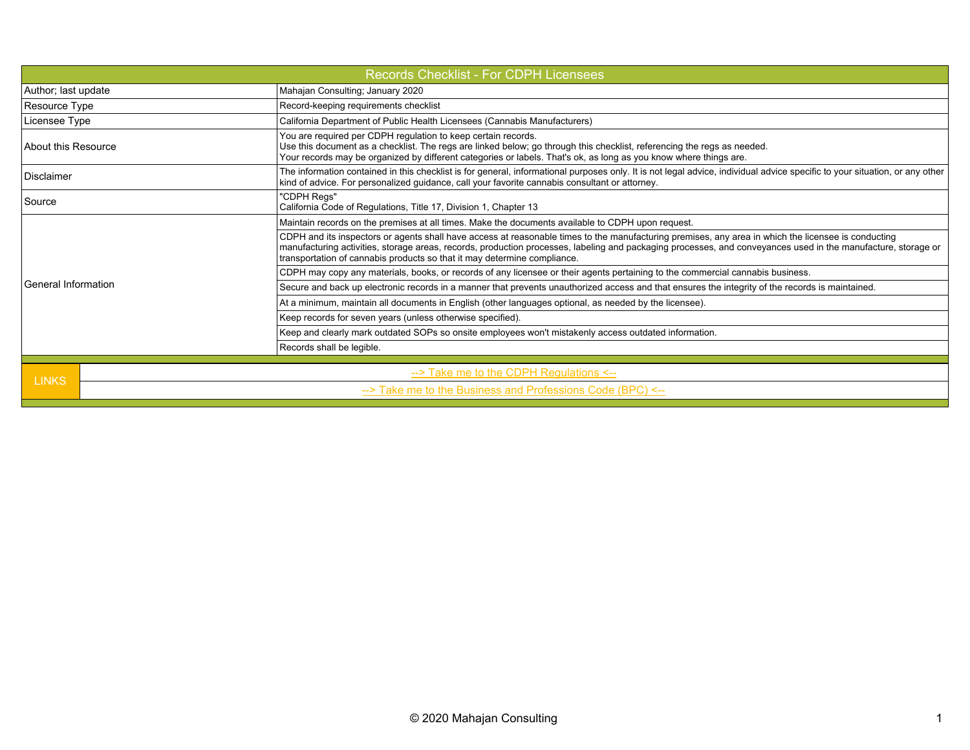| <b>Records Checklist - For CDPH Licensees</b> |                                                                                                                                                                                                                                                                                                                                                                                                  |  |  |  |  |
|-----------------------------------------------|--------------------------------------------------------------------------------------------------------------------------------------------------------------------------------------------------------------------------------------------------------------------------------------------------------------------------------------------------------------------------------------------------|--|--|--|--|
| Author; last update                           | Mahajan Consulting; January 2020                                                                                                                                                                                                                                                                                                                                                                 |  |  |  |  |
| Resource Type                                 | Record-keeping requirements checklist                                                                                                                                                                                                                                                                                                                                                            |  |  |  |  |
| Licensee Type                                 | California Department of Public Health Licensees (Cannabis Manufacturers)                                                                                                                                                                                                                                                                                                                        |  |  |  |  |
| About this Resource                           | You are required per CDPH regulation to keep certain records.<br>Use this document as a checklist. The regs are linked below; go through this checklist, referencing the regs as needed.<br>Your records may be organized by different categories or labels. That's ok, as long as you know where things are.                                                                                    |  |  |  |  |
| Disclaimer                                    | The information contained in this checklist is for general, informational purposes only. It is not legal advice, individual advice specific to your situation, or any other<br>kind of advice. For personalized guidance, call your favorite cannabis consultant or attorney.                                                                                                                    |  |  |  |  |
| Source                                        | "CDPH Regs"<br>California Code of Regulations, Title 17, Division 1, Chapter 13                                                                                                                                                                                                                                                                                                                  |  |  |  |  |
|                                               | Maintain records on the premises at all times. Make the documents available to CDPH upon request.                                                                                                                                                                                                                                                                                                |  |  |  |  |
|                                               | CDPH and its inspectors or agents shall have access at reasonable times to the manufacturing premises, any area in which the licensee is conducting<br>manufacturing activities, storage areas, records, production processes, labeling and packaging processes, and conveyances used in the manufacture, storage or<br>transportation of cannabis products so that it may determine compliance. |  |  |  |  |
|                                               | CDPH may copy any materials, books, or records of any licensee or their agents pertaining to the commercial cannabis business.                                                                                                                                                                                                                                                                   |  |  |  |  |
| General Information                           | Secure and back up electronic records in a manner that prevents unauthorized access and that ensures the integrity of the records is maintained.                                                                                                                                                                                                                                                 |  |  |  |  |
|                                               | At a minimum, maintain all documents in English (other languages optional, as needed by the licensee).                                                                                                                                                                                                                                                                                           |  |  |  |  |
|                                               | Keep records for seven years (unless otherwise specified).                                                                                                                                                                                                                                                                                                                                       |  |  |  |  |
|                                               | Keep and clearly mark outdated SOPs so onsite employees won't mistakenly access outdated information.                                                                                                                                                                                                                                                                                            |  |  |  |  |
|                                               | Records shall be legible.                                                                                                                                                                                                                                                                                                                                                                        |  |  |  |  |
|                                               | --> Take me to the CDPH Regulations <--                                                                                                                                                                                                                                                                                                                                                          |  |  |  |  |
|                                               | <b>LINKS</b><br>--> Take me to the Business and Professions Code (BPC) <--                                                                                                                                                                                                                                                                                                                       |  |  |  |  |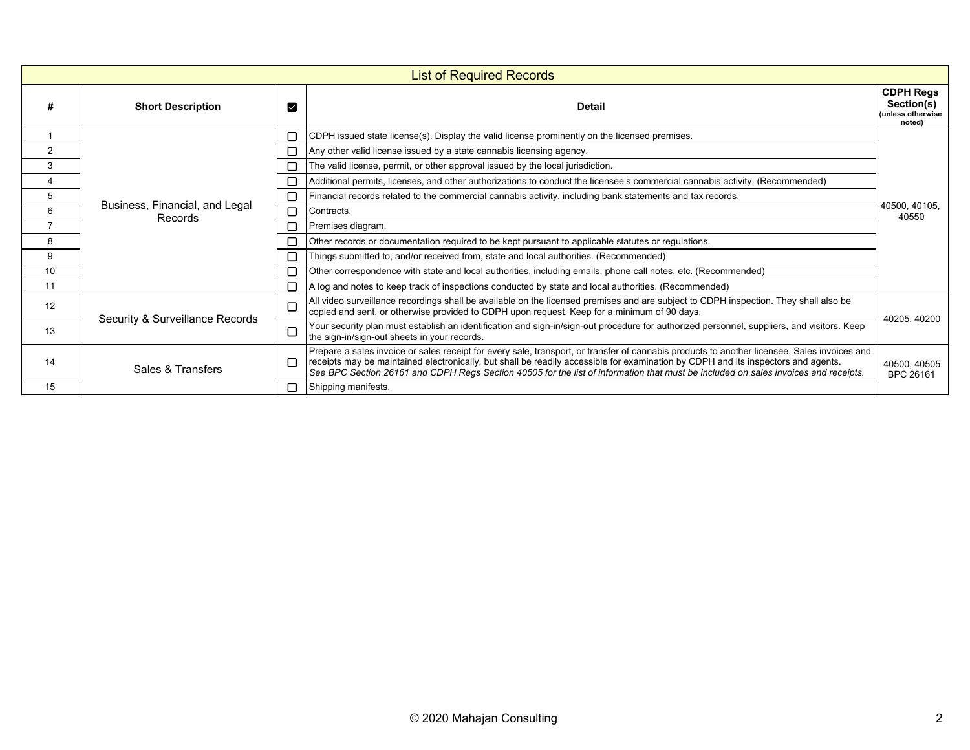|    | <b>List of Required Records</b>           |        |                                                                                                                                                                                                                                                                                                                                                                                                                          |                                                               |  |  |
|----|-------------------------------------------|--------|--------------------------------------------------------------------------------------------------------------------------------------------------------------------------------------------------------------------------------------------------------------------------------------------------------------------------------------------------------------------------------------------------------------------------|---------------------------------------------------------------|--|--|
|    | <b>Short Description</b>                  | М      | <b>Detail</b>                                                                                                                                                                                                                                                                                                                                                                                                            | <b>CDPH Regs</b><br>Section(s)<br>(unless otherwise<br>noted) |  |  |
|    | Business, Financial, and Legal<br>Records | □      | CDPH issued state license(s). Display the valid license prominently on the licensed premises.                                                                                                                                                                                                                                                                                                                            |                                                               |  |  |
| 2  |                                           |        | Any other valid license issued by a state cannabis licensing agency.                                                                                                                                                                                                                                                                                                                                                     |                                                               |  |  |
| 3  |                                           |        | The valid license, permit, or other approval issued by the local jurisdiction.                                                                                                                                                                                                                                                                                                                                           |                                                               |  |  |
| 4  |                                           |        | Additional permits, licenses, and other authorizations to conduct the licensee's commercial cannabis activity. (Recommended)                                                                                                                                                                                                                                                                                             |                                                               |  |  |
| 5  |                                           |        | Financial records related to the commercial cannabis activity, including bank statements and tax records.                                                                                                                                                                                                                                                                                                                |                                                               |  |  |
| 6  |                                           | □      | Contracts.                                                                                                                                                                                                                                                                                                                                                                                                               | 40500, 40105,<br>40550                                        |  |  |
|    |                                           |        | Premises diagram.                                                                                                                                                                                                                                                                                                                                                                                                        |                                                               |  |  |
| 8  |                                           |        | Other records or documentation required to be kept pursuant to applicable statutes or regulations.                                                                                                                                                                                                                                                                                                                       |                                                               |  |  |
| 9  |                                           | $\Box$ | Things submitted to, and/or received from, state and local authorities. (Recommended)                                                                                                                                                                                                                                                                                                                                    |                                                               |  |  |
| 10 |                                           |        | Other correspondence with state and local authorities, including emails, phone call notes, etc. (Recommended)                                                                                                                                                                                                                                                                                                            |                                                               |  |  |
| 11 |                                           |        | A log and notes to keep track of inspections conducted by state and local authorities. (Recommended)                                                                                                                                                                                                                                                                                                                     |                                                               |  |  |
| 12 | Security & Surveillance Records           |        | All video surveillance recordings shall be available on the licensed premises and are subject to CDPH inspection. They shall also be<br>copied and sent, or otherwise provided to CDPH upon request. Keep for a minimum of 90 days.                                                                                                                                                                                      | 40205, 40200                                                  |  |  |
| 13 |                                           | □      | Your security plan must establish an identification and sign-in/sign-out procedure for authorized personnel, suppliers, and visitors. Keep<br>the sign-in/sign-out sheets in your records.                                                                                                                                                                                                                               |                                                               |  |  |
| 14 | Sales & Transfers                         |        | Prepare a sales invoice or sales receipt for every sale, transport, or transfer of cannabis products to another licensee. Sales invoices and<br>receipts may be maintained electronically, but shall be readily accessible for examination by CDPH and its inspectors and agents.<br>See BPC Section 26161 and CDPH Regs Section 40505 for the list of information that must be included on sales invoices and receipts. | 40500, 40505<br><b>BPC 26161</b>                              |  |  |
| 15 |                                           |        | Shipping manifests.                                                                                                                                                                                                                                                                                                                                                                                                      |                                                               |  |  |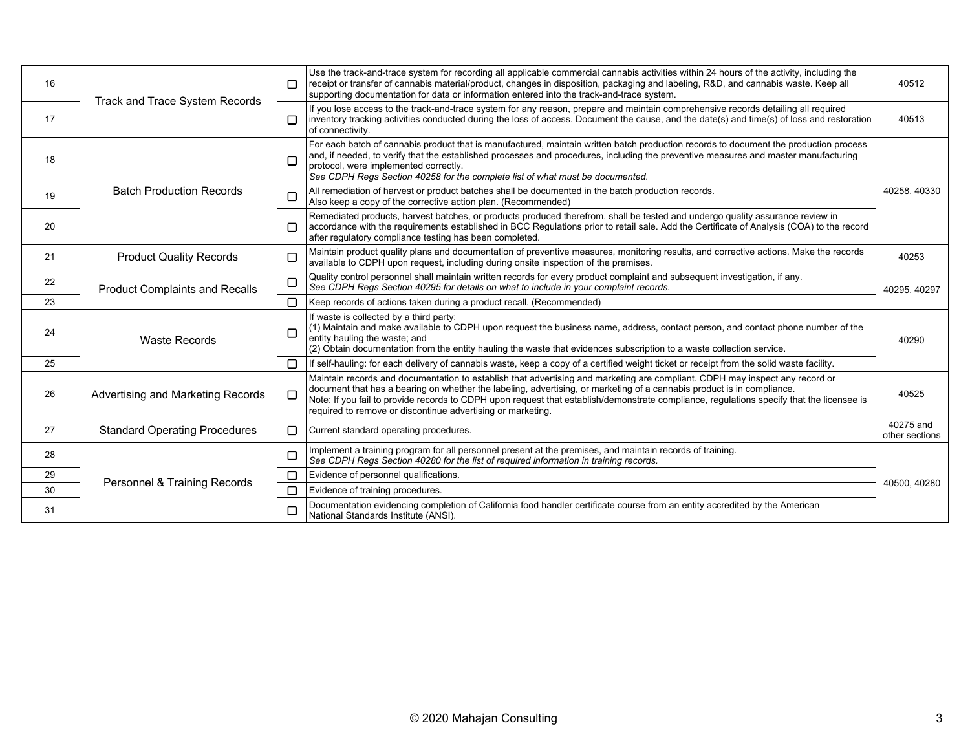| 16 | Track and Trace System Records        | П      | Use the track-and-trace system for recording all applicable commercial cannabis activities within 24 hours of the activity, including the<br>receipt or transfer of cannabis material/product, changes in disposition, packaging and labeling, R&D, and cannabis waste. Keep all<br>supporting documentation for data or information entered into the track-and-trace system.                                                                                      | 40512                       |
|----|---------------------------------------|--------|--------------------------------------------------------------------------------------------------------------------------------------------------------------------------------------------------------------------------------------------------------------------------------------------------------------------------------------------------------------------------------------------------------------------------------------------------------------------|-----------------------------|
| 17 |                                       |        | If you lose access to the track-and-trace system for any reason, prepare and maintain comprehensive records detailing all required<br>inventory tracking activities conducted during the loss of access. Document the cause, and the date(s) and time(s) of loss and restoration<br>of connectivity.                                                                                                                                                               | 40513                       |
| 18 | <b>Batch Production Records</b>       |        | For each batch of cannabis product that is manufactured, maintain written batch production records to document the production process<br>and, if needed, to verify that the established processes and procedures, including the preventive measures and master manufacturing<br>protocol, were implemented correctly.<br>See CDPH Regs Section 40258 for the complete list of what must be documented.                                                             |                             |
| 19 |                                       |        | All remediation of harvest or product batches shall be documented in the batch production records.<br>Also keep a copy of the corrective action plan. (Recommended)                                                                                                                                                                                                                                                                                                | 40258, 40330                |
| 20 |                                       |        | Remediated products, harvest batches, or products produced therefrom, shall be tested and undergo quality assurance review in<br>accordance with the requirements established in BCC Requlations prior to retail sale. Add the Certificate of Analysis (COA) to the record<br>after regulatory compliance testing has been completed.                                                                                                                              |                             |
| 21 | <b>Product Quality Records</b>        |        | Maintain product quality plans and documentation of preventive measures, monitoring results, and corrective actions. Make the records<br>available to CDPH upon request, including during onsite inspection of the premises.                                                                                                                                                                                                                                       | 40253                       |
| 22 | <b>Product Complaints and Recalls</b> |        | Quality control personnel shall maintain written records for every product complaint and subsequent investigation, if any.<br>See CDPH Regs Section 40295 for details on what to include in your complaint records.                                                                                                                                                                                                                                                | 40295, 40297                |
| 23 |                                       | П      | Keep records of actions taken during a product recall. (Recommended)                                                                                                                                                                                                                                                                                                                                                                                               |                             |
| 24 | <b>Waste Records</b>                  | $\Box$ | If waste is collected by a third party:<br>$(1)$ Maintain and make available to CDPH upon request the business name, address, contact person, and contact phone number of the<br>entity hauling the waste; and<br>(2) Obtain documentation from the entity hauling the waste that evidences subscription to a waste collection service.                                                                                                                            | 40290                       |
| 25 |                                       | $\Box$ | If self-hauling: for each delivery of cannabis waste, keep a copy of a certified weight ticket or receipt from the solid waste facility.                                                                                                                                                                                                                                                                                                                           |                             |
| 26 | Advertising and Marketing Records     | E      | Maintain records and documentation to establish that advertising and marketing are compliant. CDPH may inspect any record or<br>document that has a bearing on whether the labeling, advertising, or marketing of a cannabis product is in compliance.<br>Note: If you fail to provide records to CDPH upon request that establish/demonstrate compliance, regulations specify that the licensee is<br>required to remove or discontinue advertising or marketing. | 40525                       |
| 27 | <b>Standard Operating Procedures</b>  | $\Box$ | Current standard operating procedures.                                                                                                                                                                                                                                                                                                                                                                                                                             | 40275 and<br>other sections |
| 28 | Personnel & Training Records          | E      | Implement a training program for all personnel present at the premises, and maintain records of training.<br>See CDPH Regs Section 40280 for the list of required information in training records.                                                                                                                                                                                                                                                                 |                             |
| 29 |                                       | $\Box$ | Evidence of personnel qualifications.                                                                                                                                                                                                                                                                                                                                                                                                                              |                             |
| 30 |                                       |        | Evidence of training procedures.                                                                                                                                                                                                                                                                                                                                                                                                                                   | 40500, 40280                |
| 31 |                                       |        | Documentation evidencing completion of California food handler certificate course from an entity accredited by the American<br>National Standards Institute (ANSI).                                                                                                                                                                                                                                                                                                |                             |